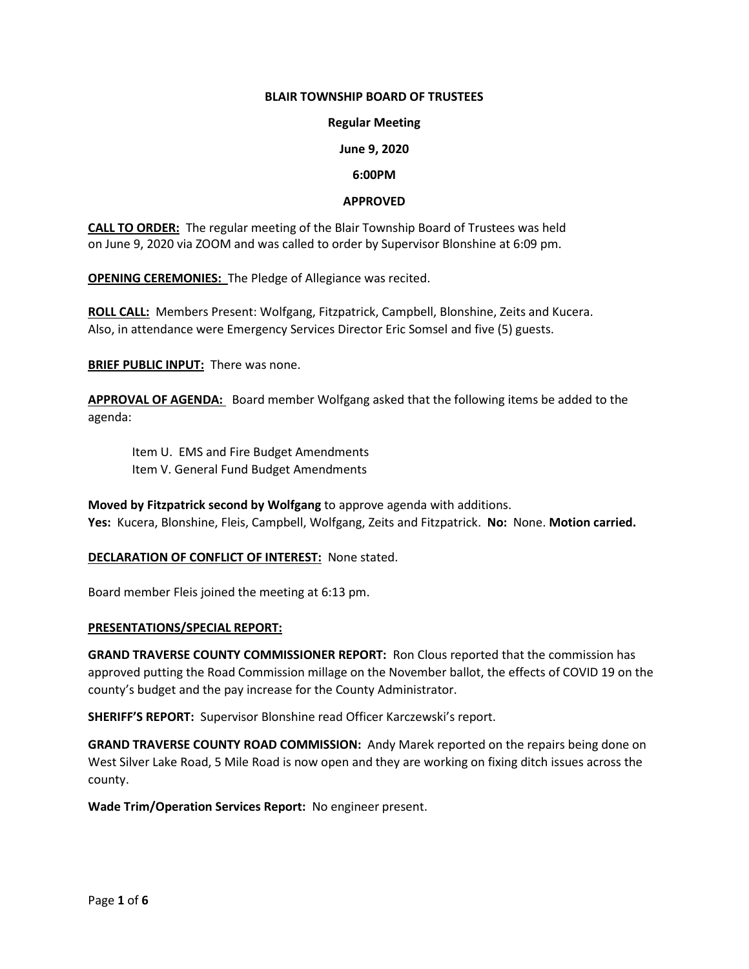### **BLAIR TOWNSHIP BOARD OF TRUSTEES**

#### **Regular Meeting**

### **June 9, 2020**

#### **6:00PM**

### **APPROVED**

**CALL TO ORDER:** The regular meeting of the Blair Township Board of Trustees was held on June 9, 2020 via ZOOM and was called to order by Supervisor Blonshine at 6:09 pm.

**OPENING CEREMONIES:** The Pledge of Allegiance was recited.

**ROLL CALL:** Members Present: Wolfgang, Fitzpatrick, Campbell, Blonshine, Zeits and Kucera. Also, in attendance were Emergency Services Director Eric Somsel and five (5) guests.

**BRIEF PUBLIC INPUT:** There was none.

**APPROVAL OF AGENDA:** Board member Wolfgang asked that the following items be added to the agenda:

Item U. EMS and Fire Budget Amendments Item V. General Fund Budget Amendments

**Moved by Fitzpatrick second by Wolfgang** to approve agenda with additions. **Yes:** Kucera, Blonshine, Fleis, Campbell, Wolfgang, Zeits and Fitzpatrick. **No:** None. **Motion carried.**

**DECLARATION OF CONFLICT OF INTEREST:** None stated.

Board member Fleis joined the meeting at 6:13 pm.

#### **PRESENTATIONS/SPECIAL REPORT:**

**GRAND TRAVERSE COUNTY COMMISSIONER REPORT:** Ron Clous reported that the commission has approved putting the Road Commission millage on the November ballot, the effects of COVID 19 on the county's budget and the pay increase for the County Administrator.

**SHERIFF'S REPORT:** Supervisor Blonshine read Officer Karczewski's report.

**GRAND TRAVERSE COUNTY ROAD COMMISSION:** Andy Marek reported on the repairs being done on West Silver Lake Road, 5 Mile Road is now open and they are working on fixing ditch issues across the county.

**Wade Trim/Operation Services Report:** No engineer present.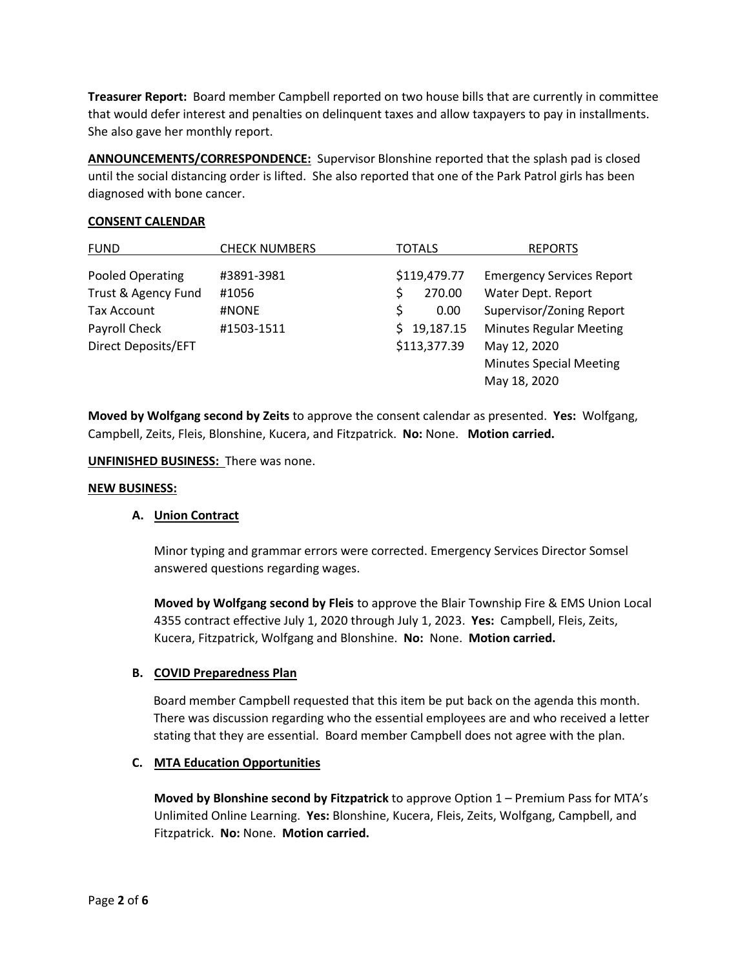**Treasurer Report:** Board member Campbell reported on two house bills that are currently in committee that would defer interest and penalties on delinquent taxes and allow taxpayers to pay in installments. She also gave her monthly report.

**ANNOUNCEMENTS/CORRESPONDENCE:** Supervisor Blonshine reported that the splash pad is closed until the social distancing order is lifted. She also reported that one of the Park Patrol girls has been diagnosed with bone cancer.

### **CONSENT CALENDAR**

| <b>FUND</b>         | <b>CHECK NUMBERS</b> | <b>TOTALS</b>   | <b>REPORTS</b>                   |
|---------------------|----------------------|-----------------|----------------------------------|
| Pooled Operating    | #3891-3981           | \$119,479.77    | <b>Emergency Services Report</b> |
| Trust & Agency Fund | #1056                | 270.00<br>\$    | Water Dept. Report               |
| Tax Account         | #NONE                | \$<br>0.00      | Supervisor/Zoning Report         |
| Payroll Check       | #1503-1511           | 19,187.15<br>Š. | <b>Minutes Regular Meeting</b>   |
| Direct Deposits/EFT |                      | \$113,377.39    | May 12, 2020                     |
|                     |                      |                 | <b>Minutes Special Meeting</b>   |
|                     |                      |                 | May 18, 2020                     |

**Moved by Wolfgang second by Zeits** to approve the consent calendar as presented. **Yes:** Wolfgang, Campbell, Zeits, Fleis, Blonshine, Kucera, and Fitzpatrick. **No:** None. **Motion carried.**

**UNFINISHED BUSINESS:** There was none.

### **NEW BUSINESS:**

### **A. Union Contract**

Minor typing and grammar errors were corrected. Emergency Services Director Somsel answered questions regarding wages.

**Moved by Wolfgang second by Fleis** to approve the Blair Township Fire & EMS Union Local 4355 contract effective July 1, 2020 through July 1, 2023. **Yes:** Campbell, Fleis, Zeits, Kucera, Fitzpatrick, Wolfgang and Blonshine. **No:** None. **Motion carried.**

# **B. COVID Preparedness Plan**

 Board member Campbell requested that this item be put back on the agenda this month. There was discussion regarding who the essential employees are and who received a letter stating that they are essential. Board member Campbell does not agree with the plan.

### **C. MTA Education Opportunities**

**Moved by Blonshine second by Fitzpatrick** to approve Option 1 – Premium Pass for MTA's Unlimited Online Learning. **Yes:** Blonshine, Kucera, Fleis, Zeits, Wolfgang, Campbell, and Fitzpatrick. **No:** None. **Motion carried.**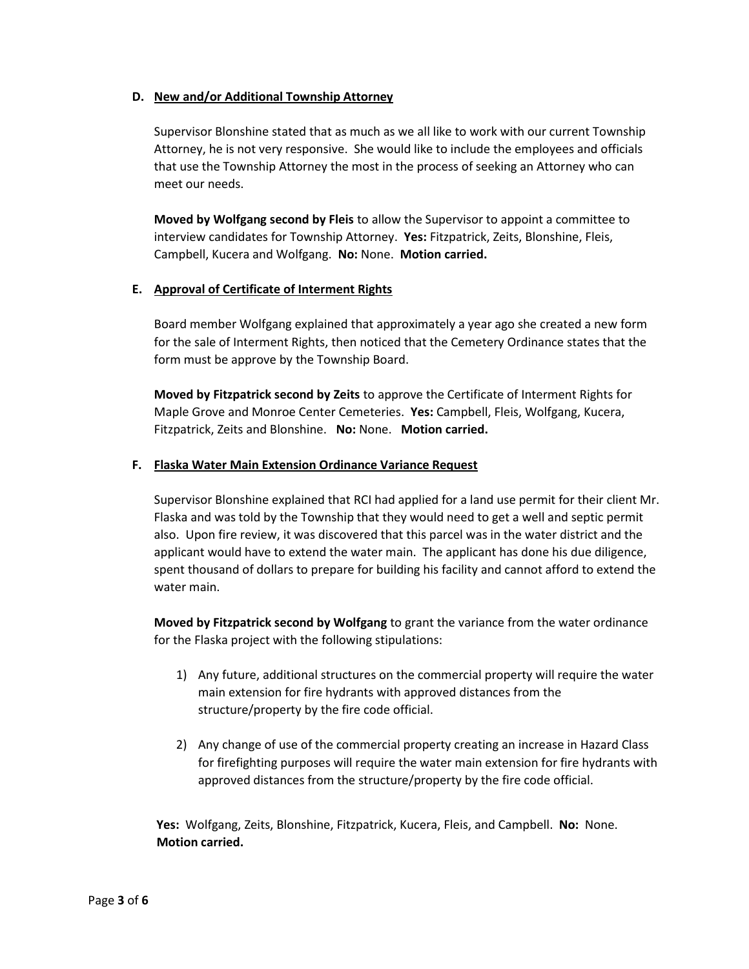# **D. New and/or Additional Township Attorney**

Supervisor Blonshine stated that as much as we all like to work with our current Township Attorney, he is not very responsive. She would like to include the employees and officials that use the Township Attorney the most in the process of seeking an Attorney who can meet our needs.

**Moved by Wolfgang second by Fleis** to allow the Supervisor to appoint a committee to interview candidates for Township Attorney. **Yes:** Fitzpatrick, Zeits, Blonshine, Fleis, Campbell, Kucera and Wolfgang. **No:** None. **Motion carried.** 

# **E. Approval of Certificate of Interment Rights**

Board member Wolfgang explained that approximately a year ago she created a new form for the sale of Interment Rights, then noticed that the Cemetery Ordinance states that the form must be approve by the Township Board.

**Moved by Fitzpatrick second by Zeits** to approve the Certificate of Interment Rights for Maple Grove and Monroe Center Cemeteries. **Yes:** Campbell, Fleis, Wolfgang, Kucera, Fitzpatrick, Zeits and Blonshine. **No:** None. **Motion carried.** 

# **F. Flaska Water Main Extension Ordinance Variance Request**

Supervisor Blonshine explained that RCI had applied for a land use permit for their client Mr. Flaska and was told by the Township that they would need to get a well and septic permit also. Upon fire review, it was discovered that this parcel was in the water district and the applicant would have to extend the water main. The applicant has done his due diligence, spent thousand of dollars to prepare for building his facility and cannot afford to extend the water main.

**Moved by Fitzpatrick second by Wolfgang** to grant the variance from the water ordinance for the Flaska project with the following stipulations:

- 1) Any future, additional structures on the commercial property will require the water main extension for fire hydrants with approved distances from the structure/property by the fire code official.
- 2) Any change of use of the commercial property creating an increase in Hazard Class for firefighting purposes will require the water main extension for fire hydrants with approved distances from the structure/property by the fire code official.

 **Yes:** Wolfgang, Zeits, Blonshine, Fitzpatrick, Kucera, Fleis, and Campbell. **No:** None. **Motion carried.**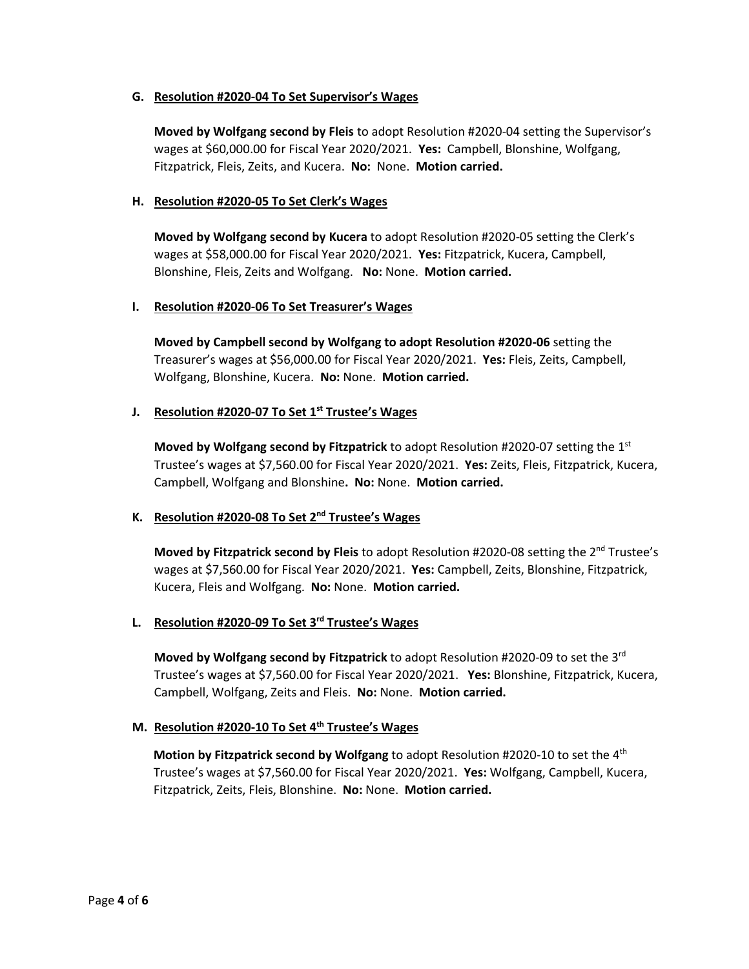# **G. Resolution #2020-04 To Set Supervisor's Wages**

**Moved by Wolfgang second by Fleis** to adopt Resolution #2020-04 setting the Supervisor's wages at \$60,000.00 for Fiscal Year 2020/2021. **Yes:** Campbell, Blonshine, Wolfgang, Fitzpatrick, Fleis, Zeits, and Kucera. **No:** None. **Motion carried.**

### **H. Resolution #2020-05 To Set Clerk's Wages**

**Moved by Wolfgang second by Kucera** to adopt Resolution #2020-05 setting the Clerk's wages at \$58,000.00 for Fiscal Year 2020/2021. **Yes:** Fitzpatrick, Kucera, Campbell, Blonshine, Fleis, Zeits and Wolfgang. **No:** None. **Motion carried.** 

### **I. Resolution #2020-06 To Set Treasurer's Wages**

**Moved by Campbell second by Wolfgang to adopt Resolution #2020-06** setting the Treasurer's wages at \$56,000.00 for Fiscal Year 2020/2021. **Yes:** Fleis, Zeits, Campbell, Wolfgang, Blonshine, Kucera. **No:** None. **Motion carried.** 

### **J. Resolution #2020-07 To Set 1st Trustee's Wages**

**Moved by Wolfgang second by Fitzpatrick** to adopt Resolution #2020-07 setting the 1st Trustee's wages at \$7,560.00 for Fiscal Year 2020/2021. **Yes:** Zeits, Fleis, Fitzpatrick, Kucera, Campbell, Wolfgang and Blonshine**. No:** None. **Motion carried.** 

# **K. Resolution #2020-08 To Set 2nd Trustee's Wages**

**Moved by Fitzpatrick second by Fleis** to adopt Resolution #2020-08 setting the 2<sup>nd</sup> Trustee's wages at \$7,560.00 for Fiscal Year 2020/2021. **Yes:** Campbell, Zeits, Blonshine, Fitzpatrick, Kucera, Fleis and Wolfgang. **No:** None. **Motion carried.**

# **L. Resolution #2020-09 To Set 3rd Trustee's Wages**

**Moved by Wolfgang second by Fitzpatrick** to adopt Resolution #2020-09 to set the 3rd Trustee's wages at \$7,560.00 for Fiscal Year 2020/2021. **Yes:** Blonshine, Fitzpatrick, Kucera, Campbell, Wolfgang, Zeits and Fleis. **No:** None. **Motion carried.**

### **M. Resolution #2020-10 To Set 4th Trustee's Wages**

 **Motion by Fitzpatrick second by Wolfgang** to adopt Resolution #2020-10 to set the 4th Trustee's wages at \$7,560.00 for Fiscal Year 2020/2021. **Yes:** Wolfgang, Campbell, Kucera, Fitzpatrick, Zeits, Fleis, Blonshine. **No:** None. **Motion carried.**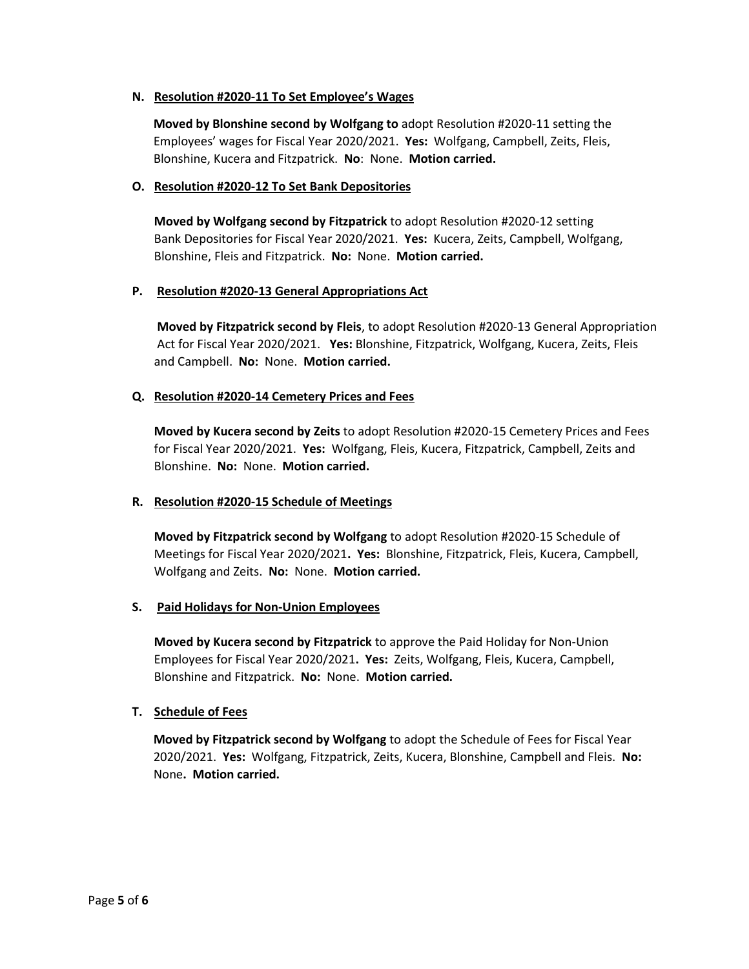### **N. Resolution #2020-11 To Set Employee's Wages**

 **Moved by Blonshine second by Wolfgang to** adopt Resolution #2020-11 setting the Employees' wages for Fiscal Year 2020/2021. **Yes:** Wolfgang, Campbell, Zeits, Fleis, Blonshine, Kucera and Fitzpatrick. **No**: None. **Motion carried.**

### **O. Resolution #2020-12 To Set Bank Depositories**

**Moved by Wolfgang second by Fitzpatrick** to adopt Resolution #2020-12 setting Bank Depositories for Fiscal Year 2020/2021. **Yes:** Kucera, Zeits, Campbell, Wolfgang, Blonshine, Fleis and Fitzpatrick. **No:** None. **Motion carried.**

### **P. Resolution #2020-13 General Appropriations Act**

**Moved by Fitzpatrick second by Fleis**, to adopt Resolution #2020-13 General Appropriation Act for Fiscal Year 2020/2021. **Yes:** Blonshine, Fitzpatrick, Wolfgang, Kucera, Zeits, Fleis and Campbell. **No:** None. **Motion carried.**

# **Q. Resolution #2020-14 Cemetery Prices and Fees**

**Moved by Kucera second by Zeits** to adopt Resolution #2020-15 Cemetery Prices and Fees for Fiscal Year 2020/2021. **Yes:** Wolfgang, Fleis, Kucera, Fitzpatrick, Campbell, Zeits and Blonshine. **No:** None. **Motion carried.**

# **R. Resolution #2020-15 Schedule of Meetings**

**Moved by Fitzpatrick second by Wolfgang** to adopt Resolution #2020-15 Schedule of Meetings for Fiscal Year 2020/2021**. Yes:** Blonshine, Fitzpatrick, Fleis, Kucera, Campbell, Wolfgang and Zeits. **No:** None. **Motion carried.** 

# **S. Paid Holidays for Non-Union Employees**

**Moved by Kucera second by Fitzpatrick** to approve the Paid Holiday for Non-Union Employees for Fiscal Year 2020/2021**. Yes:** Zeits, Wolfgang, Fleis, Kucera, Campbell, Blonshine and Fitzpatrick. **No:** None. **Motion carried.**

# **T. Schedule of Fees**

 **Moved by Fitzpatrick second by Wolfgang** to adopt the Schedule of Fees for Fiscal Year 2020/2021. **Yes:** Wolfgang, Fitzpatrick, Zeits, Kucera, Blonshine, Campbell and Fleis. **No:** None**. Motion carried.**